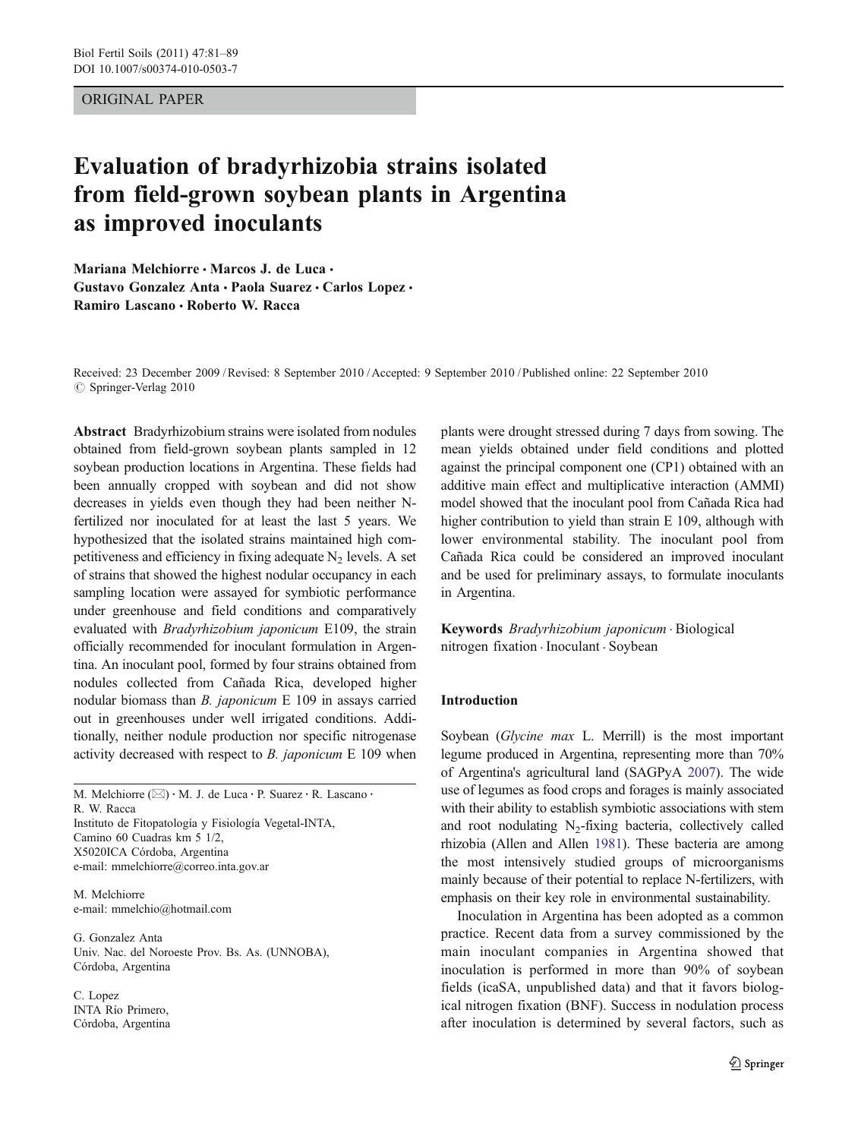# ORIGINAL PAPER

# Evaluation of bradyrhizobia strains isolated from field-grown soybean plants in Argentina as improved inoculants

Mariana Melchiorre · Marcos J. de Luca · Gustavo Gonzalez Anta · Paola Suarez · Carlos Lopez · Ramiro Lascano · Roberto W. Racca

Received: 23 December 2009 /Revised: 8 September 2010 /Accepted: 9 September 2010 / Published online: 22 September 2010 © Springer-Verlag 2010

Abstract Bradyrhizobium strains were isolated from nodules obtained from field-grown soybean plants sampled in 12 soybean production locations in Argentina. These fields had been annually cropped with soybean and did not show decreases in yields even though they had been neither Nfertilized nor inoculated for at least the last 5 years. We hypothesized that the isolated strains maintained high competitiveness and efficiency in fixing adequate  $N_2$  levels. A set of strains that showed the highest nodular occupancy in each sampling location were assayed for symbiotic performance under greenhouse and field conditions and comparatively evaluated with Bradyrhizobium japonicum E109, the strain officially recommended for inoculant formulation in Argentina. An inoculant pool, formed by four strains obtained from nodules collected from Cañada Rica, developed higher nodular biomass than B. japonicum E 109 in assays carried out in greenhouses under well irrigated conditions. Additionally, neither nodule production nor specific nitrogenase activity decreased with respect to B. japonicum E 109 when

M. Melchiorre (⊠) · M. J. de Luca · P. Suarez · R. Lascano · R. W. Racca Instituto de Fitopatología y Fisiología Vegetal-INTA, Camino 60 Cuadras km 5 1/2, X5020ICA Córdoba, Argentina e-mail: mmelchiorre@correo.inta.gov.ar

M. Melchiorre e-mail: mmelchio@hotmail.com

G. Gonzalez Anta Univ. Nac. del Noroeste Prov. Bs. As. (UNNOBA), Córdoba, Argentina

C. Lopez INTA Río Primero, Córdoba, Argentina plants were drought stressed during 7 days from sowing. The mean yields obtained under field conditions and plotted against the principal component one (CP1) obtained with an additive main effect and multiplicative interaction (AMMI) model showed that the inoculant pool from Cañada Rica had higher contribution to yield than strain E 109, although with lower environmental stability. The inoculant pool from Cañada Rica could be considered an improved inoculant and be used for preliminary assays, to formulate inoculants in Argentina.

Keywords Bradyrhizobium japonicum . Biological nitrogen fixation . Inoculant . Soybean

### Introduction

Soybean (Glycine max L. Merrill) is the most important legume produced in Argentina, representing more than 70% of Argentina's agricultural land (SAGPyA [2007\)](#page-8-0). The wide use of legumes as food crops and forages is mainly associated with their ability to establish symbiotic associations with stem and root nodulating  $N<sub>2</sub>$ -fixing bacteria, collectively called rhizobia (Allen and Allen [1981](#page-8-0)). These bacteria are among the most intensively studied groups of microorganisms mainly because of their potential to replace N-fertilizers, with emphasis on their key role in environmental sustainability.

Inoculation in Argentina has been adopted as a common practice. Recent data from a survey commissioned by the main inoculant companies in Argentina showed that inoculation is performed in more than 90% of soybean fields (icaSA, unpublished data) and that it favors biological nitrogen fixation (BNF). Success in nodulation process after inoculation is determined by several factors, such as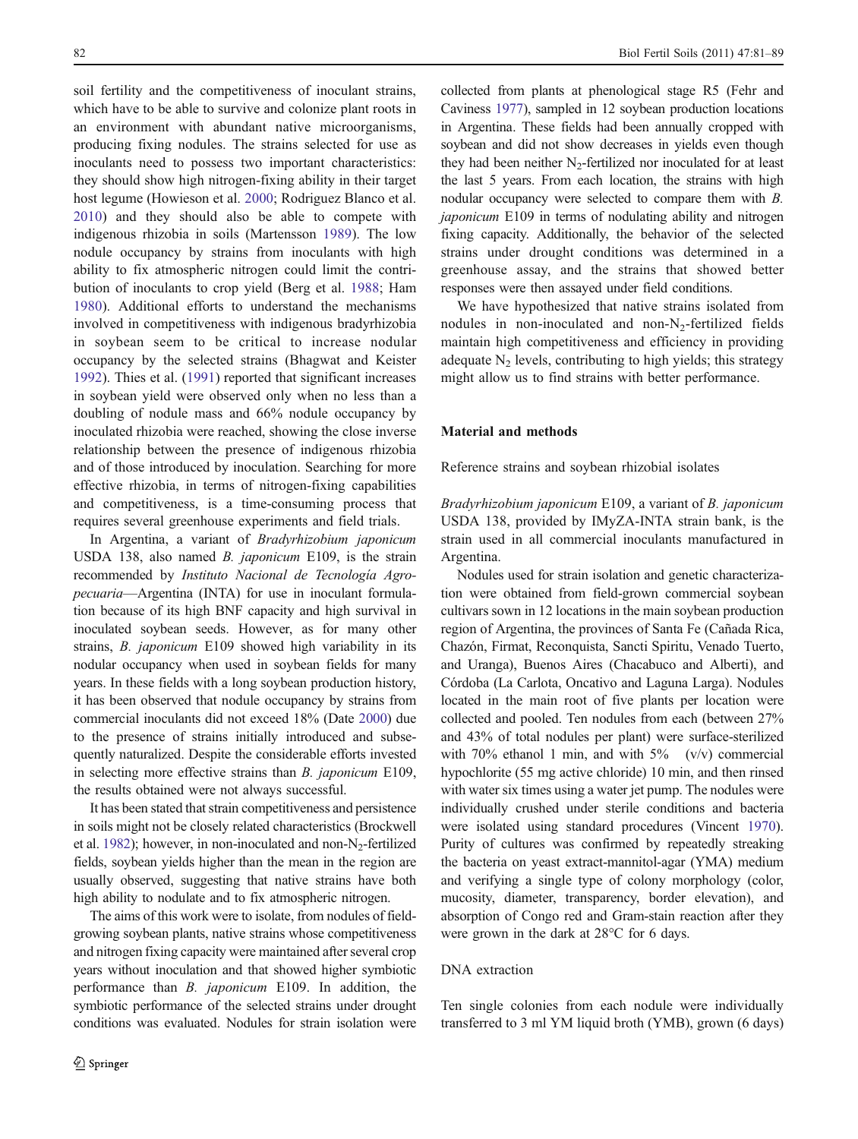soil fertility and the competitiveness of inoculant strains, which have to be able to survive and colonize plant roots in an environment with abundant native microorganisms, producing fixing nodules. The strains selected for use as inoculants need to possess two important characteristics: they should show high nitrogen-fixing ability in their target host legume (Howieson et al. [2000;](#page-8-0) Rodriguez Blanco et al. [2010\)](#page-8-0) and they should also be able to compete with indigenous rhizobia in soils (Martensson [1989](#page-8-0)). The low nodule occupancy by strains from inoculants with high ability to fix atmospheric nitrogen could limit the contribution of inoculants to crop yield (Berg et al. [1988](#page-8-0); Ham [1980\)](#page-8-0). Additional efforts to understand the mechanisms involved in competitiveness with indigenous bradyrhizobia in soybean seem to be critical to increase nodular occupancy by the selected strains (Bhagwat and Keister [1992\)](#page-8-0). Thies et al. ([1991\)](#page-8-0) reported that significant increases in soybean yield were observed only when no less than a doubling of nodule mass and 66% nodule occupancy by inoculated rhizobia were reached, showing the close inverse relationship between the presence of indigenous rhizobia and of those introduced by inoculation. Searching for more effective rhizobia, in terms of nitrogen-fixing capabilities and competitiveness, is a time-consuming process that requires several greenhouse experiments and field trials.

In Argentina, a variant of Bradyrhizobium japonicum USDA 138, also named B. japonicum E109, is the strain recommended by Instituto Nacional de Tecnología Agropecuaria—Argentina (INTA) for use in inoculant formulation because of its high BNF capacity and high survival in inoculated soybean seeds. However, as for many other strains, B. japonicum E109 showed high variability in its nodular occupancy when used in soybean fields for many years. In these fields with a long soybean production history, it has been observed that nodule occupancy by strains from commercial inoculants did not exceed 18% (Date [2000\)](#page-8-0) due to the presence of strains initially introduced and subsequently naturalized. Despite the considerable efforts invested in selecting more effective strains than B. japonicum E109, the results obtained were not always successful.

It has been stated that strain competitiveness and persistence in soils might not be closely related characteristics (Brockwell et al. [1982\)](#page-8-0); however, in non-inoculated and non- $N_2$ -fertilized fields, soybean yields higher than the mean in the region are usually observed, suggesting that native strains have both high ability to nodulate and to fix atmospheric nitrogen.

The aims of this work were to isolate, from nodules of fieldgrowing soybean plants, native strains whose competitiveness and nitrogen fixing capacity were maintained after several crop years without inoculation and that showed higher symbiotic performance than B. japonicum E109. In addition, the symbiotic performance of the selected strains under drought conditions was evaluated. Nodules for strain isolation were collected from plants at phenological stage R5 (Fehr and Caviness [1977](#page-8-0)), sampled in 12 soybean production locations in Argentina. These fields had been annually cropped with soybean and did not show decreases in yields even though they had been neither  $N<sub>2</sub>$ -fertilized nor inoculated for at least the last 5 years. From each location, the strains with high nodular occupancy were selected to compare them with B. japonicum E109 in terms of nodulating ability and nitrogen fixing capacity. Additionally, the behavior of the selected strains under drought conditions was determined in a greenhouse assay, and the strains that showed better responses were then assayed under field conditions.

We have hypothesized that native strains isolated from nodules in non-inoculated and non- $N<sub>2</sub>$ -fertilized fields maintain high competitiveness and efficiency in providing adequate  $N_2$  levels, contributing to high yields; this strategy might allow us to find strains with better performance.

## Material and methods

Reference strains and soybean rhizobial isolates

Bradyrhizobium japonicum E109, a variant of B. japonicum USDA 138, provided by IMyZA-INTA strain bank, is the strain used in all commercial inoculants manufactured in Argentina.

Nodules used for strain isolation and genetic characterization were obtained from field-grown commercial soybean cultivars sown in 12 locations in the main soybean production region of Argentina, the provinces of Santa Fe (Cañada Rica, Chazón, Firmat, Reconquista, Sancti Spiritu, Venado Tuerto, and Uranga), Buenos Aires (Chacabuco and Alberti), and Córdoba (La Carlota, Oncativo and Laguna Larga). Nodules located in the main root of five plants per location were collected and pooled. Ten nodules from each (between 27% and 43% of total nodules per plant) were surface-sterilized with 70% ethanol 1 min, and with  $5\%$  (v/v) commercial hypochlorite (55 mg active chloride) 10 min, and then rinsed with water six times using a water jet pump. The nodules were individually crushed under sterile conditions and bacteria were isolated using standard procedures (Vincent [1970\)](#page-8-0). Purity of cultures was confirmed by repeatedly streaking the bacteria on yeast extract-mannitol-agar (YMA) medium and verifying a single type of colony morphology (color, mucosity, diameter, transparency, border elevation), and absorption of Congo red and Gram-stain reaction after they were grown in the dark at 28°C for 6 days.

# DNA extraction

Ten single colonies from each nodule were individually transferred to 3 ml YM liquid broth (YMB), grown (6 days)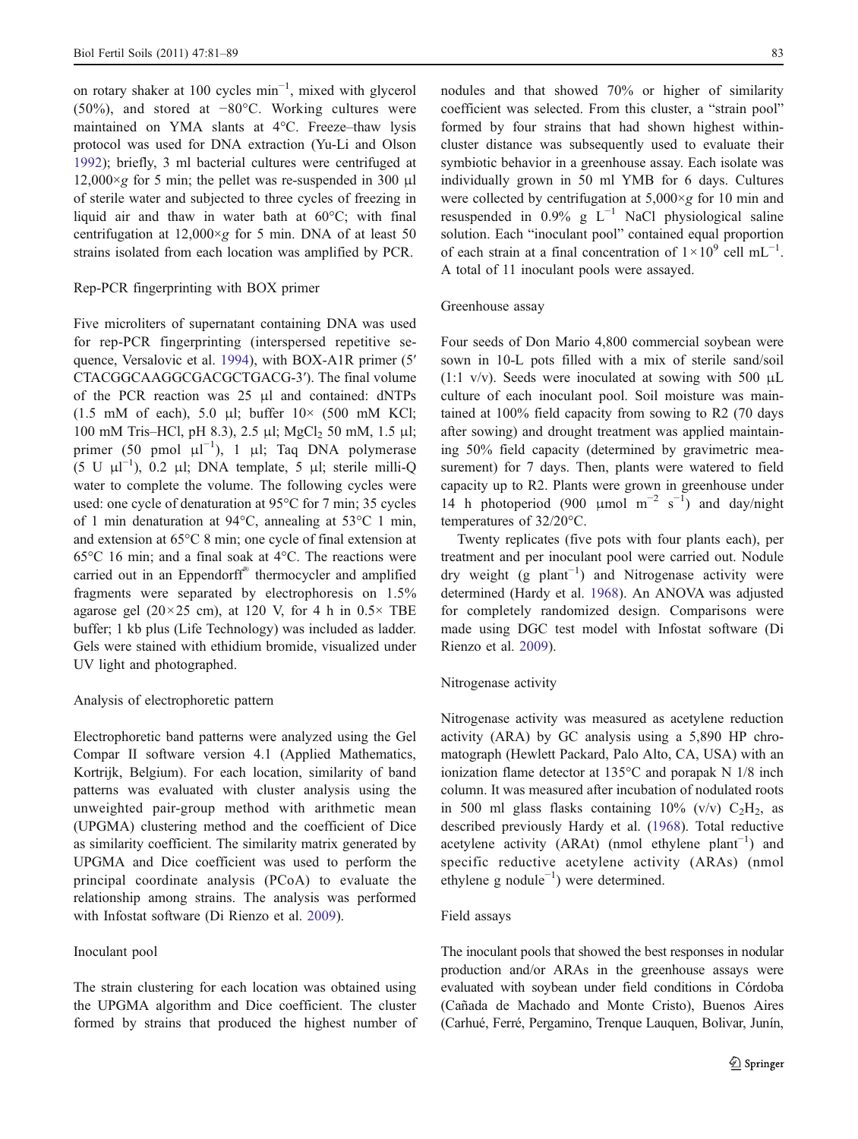on rotary shaker at 100 cycles min−<sup>1</sup> , mixed with glycerol (50%), and stored at −80°C. Working cultures were maintained on YMA slants at 4°C. Freeze–thaw lysis protocol was used for DNA extraction (Yu-Li and Olson [1992\)](#page-8-0); briefly, 3 ml bacterial cultures were centrifuged at  $12,000 \times g$  for 5 min; the pellet was re-suspended in 300 µl of sterile water and subjected to three cycles of freezing in liquid air and thaw in water bath at 60°C; with final centrifugation at  $12,000 \times g$  for 5 min. DNA of at least 50 strains isolated from each location was amplified by PCR.

# Rep-PCR fingerprinting with BOX primer

Five microliters of supernatant containing DNA was used for rep-PCR fingerprinting (interspersed repetitive sequence, Versalovic et al. [1994](#page-8-0)), with BOX-A1R primer (5′ CTACGGCAAGGCGACGCTGACG-3′). The final volume of the PCR reaction was 25 μl and contained: dNTPs (1.5 mM of each), 5.0 μl; buffer  $10 \times$  (500 mM KCl; 100 mM Tris–HCl, pH 8.3), 2.5 μl; MgCl<sub>2</sub> 50 mM, 1.5 μl; primer (50 pmol  $\mu$ l<sup>-1</sup>), 1  $\mu$ l; Taq DNA polymerase (5 U μl −1 ), 0.2 μl; DNA template, 5 μl; sterile milli-Q water to complete the volume. The following cycles were used: one cycle of denaturation at 95°C for 7 min; 35 cycles of 1 min denaturation at 94°C, annealing at 53°C 1 min, and extension at 65°C 8 min; one cycle of final extension at 65°C 16 min; and a final soak at 4°C. The reactions were carried out in an Eppendorff® thermocycler and amplified fragments were separated by electrophoresis on 1.5% agarose gel  $(20 \times 25$  cm), at 120 V, for 4 h in  $0.5 \times$  TBE buffer; 1 kb plus (Life Technology) was included as ladder. Gels were stained with ethidium bromide, visualized under UV light and photographed.

#### Analysis of electrophoretic pattern

Electrophoretic band patterns were analyzed using the Gel Compar II software version 4.1 (Applied Mathematics, Kortrijk, Belgium). For each location, similarity of band patterns was evaluated with cluster analysis using the unweighted pair-group method with arithmetic mean (UPGMA) clustering method and the coefficient of Dice as similarity coefficient. The similarity matrix generated by UPGMA and Dice coefficient was used to perform the principal coordinate analysis (PCoA) to evaluate the relationship among strains. The analysis was performed with Infostat software (Di Rienzo et al. [2009](#page-8-0)).

### Inoculant pool

The strain clustering for each location was obtained using the UPGMA algorithm and Dice coefficient. The cluster formed by strains that produced the highest number of nodules and that showed 70% or higher of similarity coefficient was selected. From this cluster, a "strain pool" formed by four strains that had shown highest withincluster distance was subsequently used to evaluate their symbiotic behavior in a greenhouse assay. Each isolate was individually grown in 50 ml YMB for 6 days. Cultures were collected by centrifugation at  $5,000 \times g$  for 10 min and resuspended in 0.9% g  $L^{-1}$  NaCl physiological saline solution. Each "inoculant pool" contained equal proportion of each strain at a final concentration of  $1 \times 10^9$  cell mL<sup>-1</sup>. A total of 11 inoculant pools were assayed.

#### Greenhouse assay

Four seeds of Don Mario 4,800 commercial soybean were sown in 10-L pots filled with a mix of sterile sand/soil (1:1 v/v). Seeds were inoculated at sowing with 500  $\mu$ L culture of each inoculant pool. Soil moisture was maintained at 100% field capacity from sowing to R2 (70 days after sowing) and drought treatment was applied maintaining 50% field capacity (determined by gravimetric measurement) for 7 days. Then, plants were watered to field capacity up to R2. Plants were grown in greenhouse under 14 h photoperiod (900 µmol  $m^{-2} s^{-1}$ ) and day/night temperatures of 32/20°C.

Twenty replicates (five pots with four plants each), per treatment and per inoculant pool were carried out. Nodule dry weight (g plant<sup>-1</sup>) and Nitrogenase activity were determined (Hardy et al. [1968\)](#page-8-0). An ANOVA was adjusted for completely randomized design. Comparisons were made using DGC test model with Infostat software (Di Rienzo et al. [2009\)](#page-8-0).

# Nitrogenase activity

Nitrogenase activity was measured as acetylene reduction activity (ARA) by GC analysis using a 5,890 HP chromatograph (Hewlett Packard, Palo Alto, CA, USA) with an ionization flame detector at 135°C and porapak N 1/8 inch column. It was measured after incubation of nodulated roots in 500 ml glass flasks containing  $10\%$  (v/v)  $C_2H_2$ , as described previously Hardy et al. ([1968\)](#page-8-0). Total reductive acetylene activity (ARAt) (nmol ethylene plant<sup>-1</sup>) and specific reductive acetylene activity (ARAs) (nmol ethylene g nodule−<sup>1</sup> ) were determined.

#### Field assays

The inoculant pools that showed the best responses in nodular production and/or ARAs in the greenhouse assays were evaluated with soybean under field conditions in Córdoba (Cañada de Machado and Monte Cristo), Buenos Aires (Carhué, Ferré, Pergamino, Trenque Lauquen, Bolivar, Junín,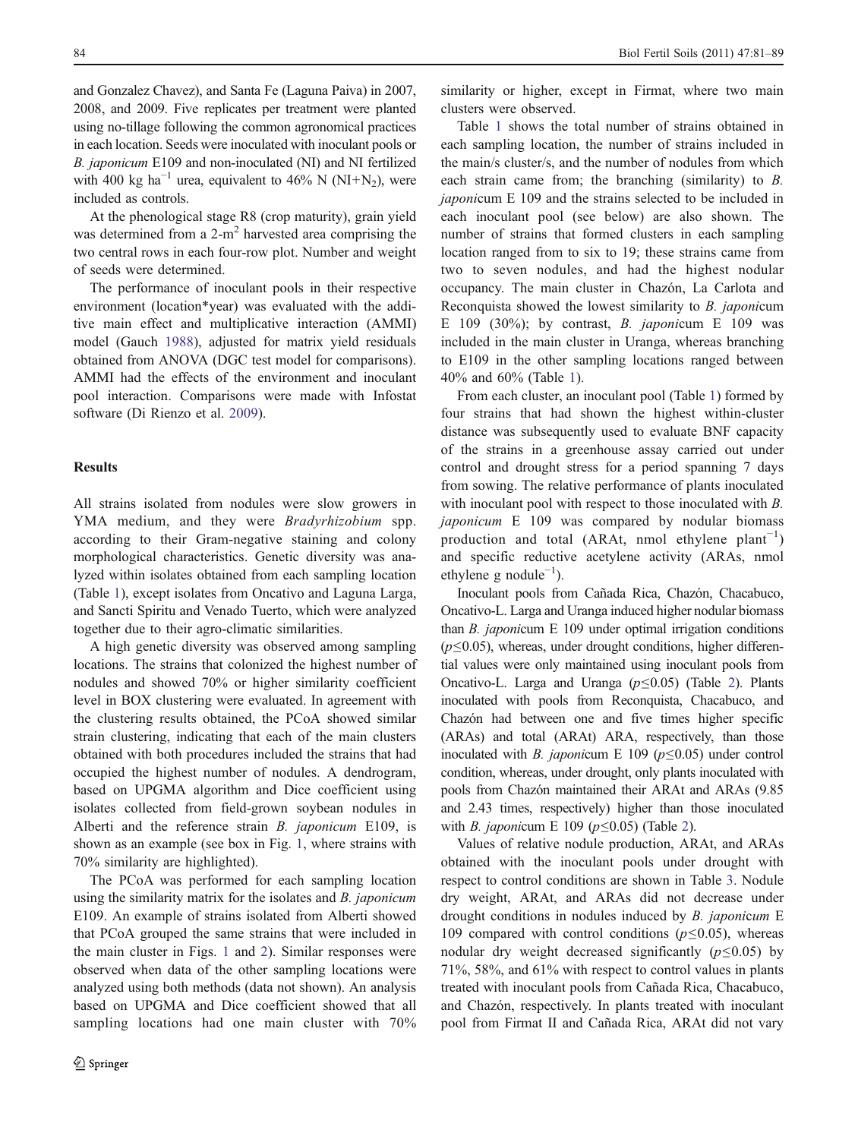and Gonzalez Chavez), and Santa Fe (Laguna Paiva) in 2007, 2008, and 2009. Five replicates per treatment were planted using no-tillage following the common agronomical practices in each location. Seeds were inoculated with inoculant pools or B. japonicum E109 and non-inoculated (NI) and NI fertilized with 400 kg ha<sup>-1</sup> urea, equivalent to 46% N (NI+N<sub>2</sub>), were included as controls.

At the phenological stage R8 (crop maturity), grain yield was determined from a  $2-m^2$  harvested area comprising the two central rows in each four-row plot. Number and weight of seeds were determined.

The performance of inoculant pools in their respective environment (location\*year) was evaluated with the additive main effect and multiplicative interaction (AMMI) model (Gauch [1988](#page-8-0)), adjusted for matrix yield residuals obtained from ANOVA (DGC test model for comparisons). AMMI had the effects of the environment and inoculant pool interaction. Comparisons were made with Infostat software (Di Rienzo et al. [2009](#page-8-0)).

# **Results**

All strains isolated from nodules were slow growers in YMA medium, and they were *Bradyrhizobium* spp. according to their Gram-negative staining and colony morphological characteristics. Genetic diversity was analyzed within isolates obtained from each sampling location (Table [1\)](#page-4-0), except isolates from Oncativo and Laguna Larga, and Sancti Spiritu and Venado Tuerto, which were analyzed together due to their agro-climatic similarities.

A high genetic diversity was observed among sampling locations. The strains that colonized the highest number of nodules and showed 70% or higher similarity coefficient level in BOX clustering were evaluated. In agreement with the clustering results obtained, the PCoA showed similar strain clustering, indicating that each of the main clusters obtained with both procedures included the strains that had occupied the highest number of nodules. A dendrogram, based on UPGMA algorithm and Dice coefficient using isolates collected from field-grown soybean nodules in Alberti and the reference strain B. japonicum E109, is shown as an example (see box in Fig. [1,](#page-5-0) where strains with 70% similarity are highlighted).

The PCoA was performed for each sampling location using the similarity matrix for the isolates and B. japonicum E109. An example of strains isolated from Alberti showed that PCoA grouped the same strains that were included in the main cluster in Figs. [1](#page-5-0) and [2](#page-6-0)). Similar responses were observed when data of the other sampling locations were analyzed using both methods (data not shown). An analysis based on UPGMA and Dice coefficient showed that all sampling locations had one main cluster with 70%

similarity or higher, except in Firmat, where two main clusters were observed.

Table [1](#page-4-0) shows the total number of strains obtained in each sampling location, the number of strains included in the main/s cluster/s, and the number of nodules from which each strain came from; the branching (similarity) to B. japonicum E 109 and the strains selected to be included in each inoculant pool (see below) are also shown. The number of strains that formed clusters in each sampling location ranged from to six to 19; these strains came from two to seven nodules, and had the highest nodular occupancy. The main cluster in Chazón, La Carlota and Reconquista showed the lowest similarity to B. japonicum E 109 (30%); by contrast, *B. japonicum* E 109 was included in the main cluster in Uranga, whereas branching to E109 in the other sampling locations ranged between 40% and 60% (Table [1](#page-4-0)).

From each cluster, an inoculant pool (Table [1](#page-4-0)) formed by four strains that had shown the highest within-cluster distance was subsequently used to evaluate BNF capacity of the strains in a greenhouse assay carried out under control and drought stress for a period spanning 7 days from sowing. The relative performance of plants inoculated with inoculant pool with respect to those inoculated with B. japonicum E 109 was compared by nodular biomass production and total (ARAt, nmol ethylene plant<sup>-1</sup>) and specific reductive acetylene activity (ARAs, nmol ethylene g nodule−<sup>1</sup> ).

Inoculant pools from Cañada Rica, Chazón, Chacabuco, Oncativo-L. Larga and Uranga induced higher nodular biomass than B. japonicum E 109 under optimal irrigation conditions  $(p \le 0.05)$ , whereas, under drought conditions, higher differential values were only maintained using inoculant pools from Oncativo-L. Larga and Uranga  $(p \le 0.05)$  (Table [2](#page-6-0)). Plants inoculated with pools from Reconquista, Chacabuco, and Chazón had between one and five times higher specific (ARAs) and total (ARAt) ARA, respectively, than those inoculated with B. japonicum E 109 ( $p \le 0.05$ ) under control condition, whereas, under drought, only plants inoculated with pools from Chazón maintained their ARAt and ARAs (9.85 and 2.43 times, respectively) higher than those inoculated with *B. japonicum* E 109 ( $p \le 0.05$ ) (Table [2](#page-6-0)).

Values of relative nodule production, ARAt, and ARAs obtained with the inoculant pools under drought with respect to control conditions are shown in Table [3](#page-7-0). Nodule dry weight, ARAt, and ARAs did not decrease under drought conditions in nodules induced by B. japonicum E 109 compared with control conditions  $(p \le 0.05)$ , whereas nodular dry weight decreased significantly ( $p \le 0.05$ ) by 71%, 58%, and 61% with respect to control values in plants treated with inoculant pools from Cañada Rica, Chacabuco, and Chazón, respectively. In plants treated with inoculant pool from Firmat II and Cañada Rica, ARAt did not vary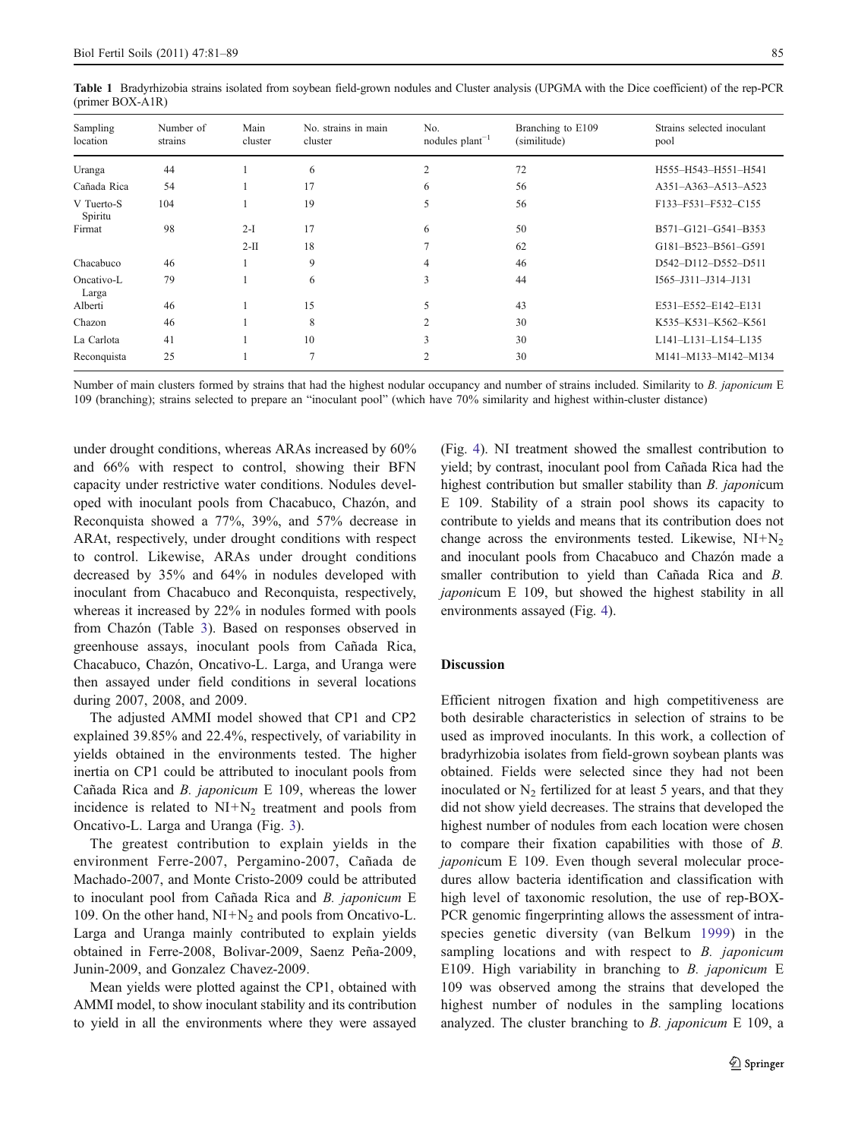<span id="page-4-0"></span>Table 1 Bradyrhizobia strains isolated from soybean field-grown nodules and Cluster analysis (UPGMA with the Dice coefficient) of the rep-PCR (primer BOX-A1R)

| Sampling<br>location  | Number of<br>strains | Main<br>cluster | No. strains in main<br>cluster | No.<br>nodules $plant^{-1}$ | Branching to E109<br>(similitude) | Strains selected inoculant<br>pool |
|-----------------------|----------------------|-----------------|--------------------------------|-----------------------------|-----------------------------------|------------------------------------|
| Uranga                | 44                   |                 | 6                              | 2                           | 72                                | H555-H543-H551-H541                |
| Cañada Rica           | 54                   |                 | 17                             | 6                           | 56                                | A351-A363-A513-A523                |
| V Tuerto-S<br>Spiritu | 104                  |                 | 19                             | 5                           | 56                                | F133-F531-F532-C155                |
| Firmat                | 98                   | $2-I$           | 17                             | 6                           | 50                                | B571-G121-G541-B353                |
|                       |                      | $2-II$          | 18                             |                             | 62                                | G181-B523-B561-G591                |
| Chacabuco             | 46                   |                 | 9                              | 4                           | 46                                | D542-D112-D552-D511                |
| Oncativo-L<br>Larga   | 79                   |                 | 6                              | 3                           | 44                                | I565-J311-J314-J131                |
| Alberti               | 46                   |                 | 15                             | 5                           | 43                                | E531-E552-E142-E131                |
| Chazon                | 46                   |                 | 8                              | $\mathcal{L}$               | 30                                | K535-K531-K562-K561                |
| La Carlota            | 41                   |                 | 10                             | 3                           | 30                                | L141-L131-L154-L135                |
| Reconquista           | 25                   |                 | $\overline{ }$                 | ◠                           | 30                                | M141-M133-M142-M134                |

Number of main clusters formed by strains that had the highest nodular occupancy and number of strains included. Similarity to B. japonicum E 109 (branching); strains selected to prepare an "inoculant pool" (which have 70% similarity and highest within-cluster distance)

under drought conditions, whereas ARAs increased by 60% and 66% with respect to control, showing their BFN capacity under restrictive water conditions. Nodules developed with inoculant pools from Chacabuco, Chazón, and Reconquista showed a 77%, 39%, and 57% decrease in ARAt, respectively, under drought conditions with respect to control. Likewise, ARAs under drought conditions decreased by 35% and 64% in nodules developed with inoculant from Chacabuco and Reconquista, respectively, whereas it increased by 22% in nodules formed with pools from Chazón (Table [3](#page-7-0)). Based on responses observed in greenhouse assays, inoculant pools from Cañada Rica, Chacabuco, Chazón, Oncativo-L. Larga, and Uranga were then assayed under field conditions in several locations during 2007, 2008, and 2009.

The adjusted AMMI model showed that CP1 and CP2 explained 39.85% and 22.4%, respectively, of variability in yields obtained in the environments tested. The higher inertia on CP1 could be attributed to inoculant pools from Cañada Rica and B. japonicum E 109, whereas the lower incidence is related to  $NI+N_2$  treatment and pools from Oncativo-L. Larga and Uranga (Fig. [3\)](#page-7-0).

The greatest contribution to explain yields in the environment Ferre-2007, Pergamino-2007, Cañada de Machado-2007, and Monte Cristo-2009 could be attributed to inoculant pool from Cañada Rica and B. japonicum E 109. On the other hand,  $NI+N_2$  and pools from Oncativo-L. Larga and Uranga mainly contributed to explain yields obtained in Ferre-2008, Bolivar-2009, Saenz Peña-2009, Junin-2009, and Gonzalez Chavez-2009.

Mean yields were plotted against the CP1, obtained with AMMI model, to show inoculant stability and its contribution to yield in all the environments where they were assayed (Fig. [4](#page-7-0)). NI treatment showed the smallest contribution to yield; by contrast, inoculant pool from Cañada Rica had the highest contribution but smaller stability than *B. japonicum* E 109. Stability of a strain pool shows its capacity to contribute to yields and means that its contribution does not change across the environments tested. Likewise,  $NI+N<sub>2</sub>$ and inoculant pools from Chacabuco and Chazón made a smaller contribution to yield than Cañada Rica and B. japonicum E 109, but showed the highest stability in all environments assayed (Fig. [4](#page-7-0)).

#### Discussion

Efficient nitrogen fixation and high competitiveness are both desirable characteristics in selection of strains to be used as improved inoculants. In this work, a collection of bradyrhizobia isolates from field-grown soybean plants was obtained. Fields were selected since they had not been inoculated or  $N_2$  fertilized for at least 5 years, and that they did not show yield decreases. The strains that developed the highest number of nodules from each location were chosen to compare their fixation capabilities with those of B. japonicum E 109. Even though several molecular procedures allow bacteria identification and classification with high level of taxonomic resolution, the use of rep-BOX-PCR genomic fingerprinting allows the assessment of intraspecies genetic diversity (van Belkum [1999](#page-8-0)) in the sampling locations and with respect to B. *japonicum* E109. High variability in branching to B. japonicum E 109 was observed among the strains that developed the highest number of nodules in the sampling locations analyzed. The cluster branching to B. japonicum E 109, a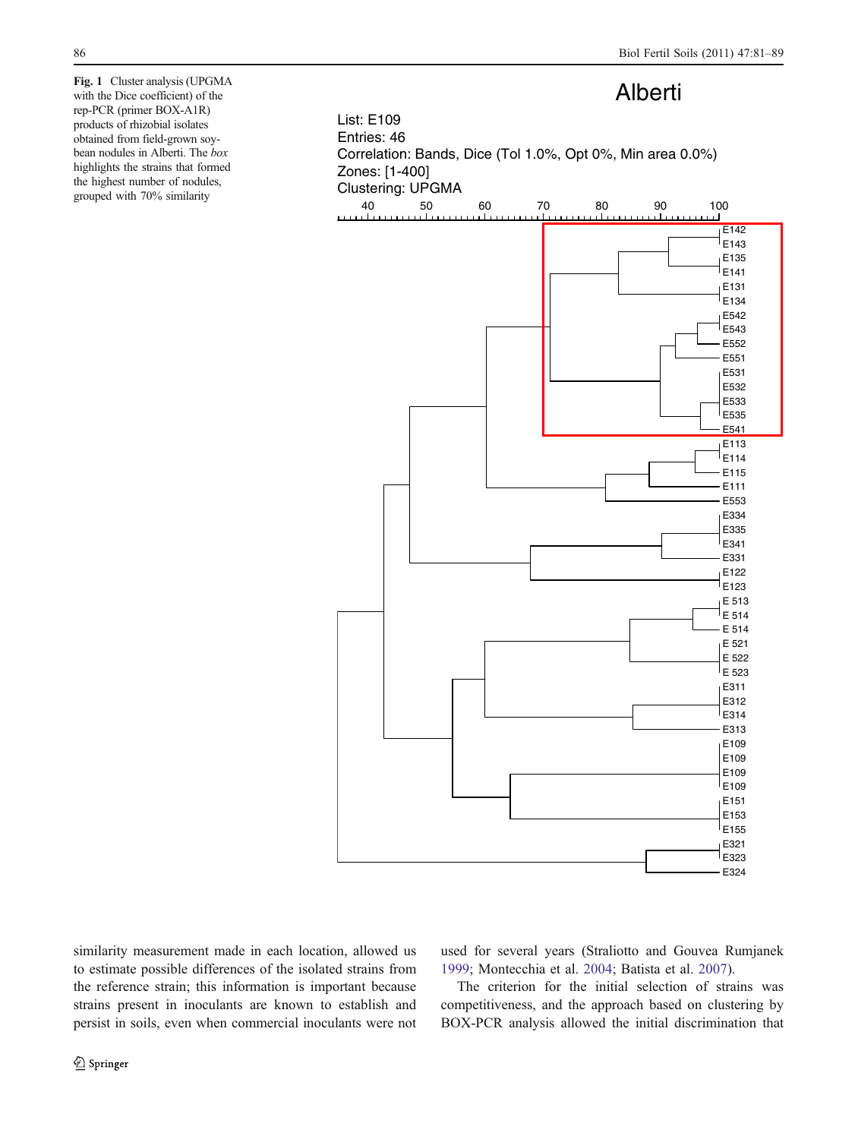<span id="page-5-0"></span>

similarity measurement made in each location, allowed us to estimate possible differences of the isolated strains from the reference strain; this information is important because strains present in inoculants are known to establish and persist in soils, even when commercial inoculants were not used for several years (Straliotto and Gouvea Rumjanek [1999](#page-8-0); Montecchia et al. [2004](#page-8-0); Batista et al. [2007](#page-8-0)).

The criterion for the initial selection of strains was competitiveness, and the approach based on clustering by BOX-PCR analysis allowed the initial discrimination that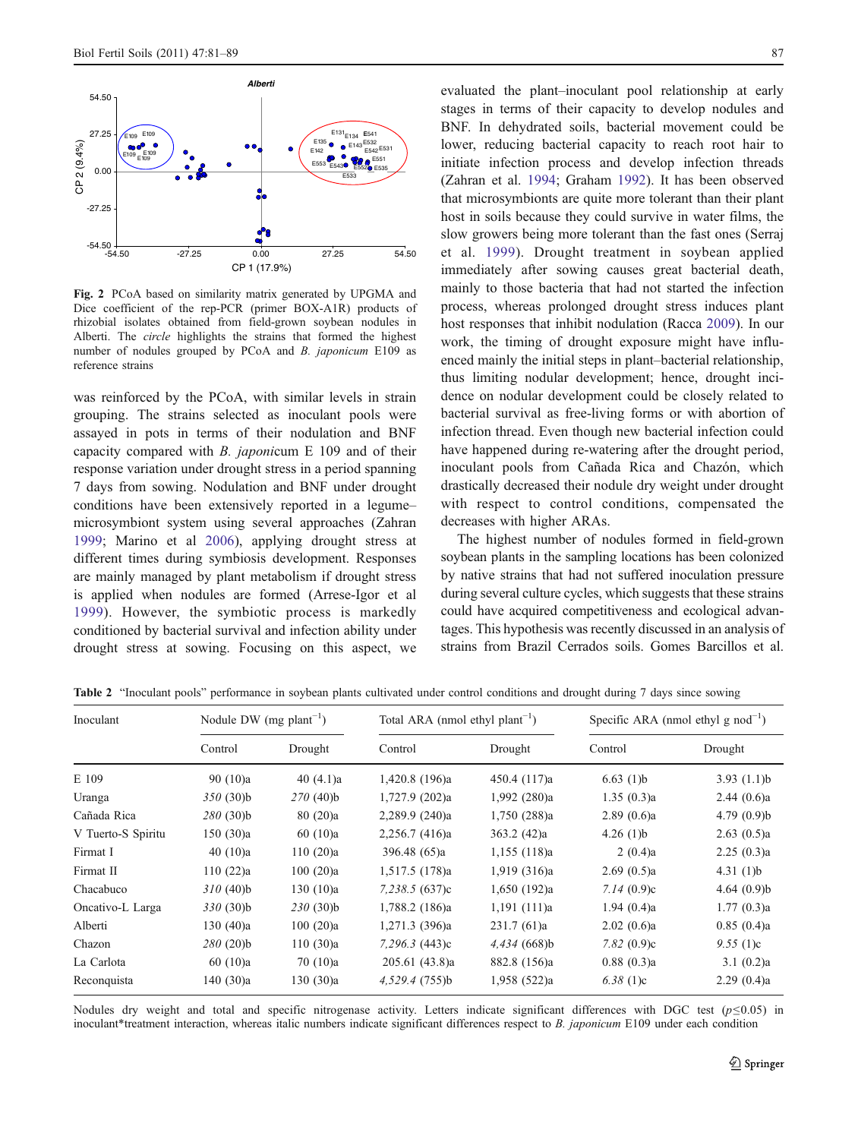<span id="page-6-0"></span>

Fig. 2 PCoA based on similarity matrix generated by UPGMA and Dice coefficient of the rep-PCR (primer BOX-A1R) products of rhizobial isolates obtained from field-grown soybean nodules in Alberti. The circle highlights the strains that formed the highest number of nodules grouped by PCoA and B. japonicum E109 as reference strains

was reinforced by the PCoA, with similar levels in strain grouping. The strains selected as inoculant pools were assayed in pots in terms of their nodulation and BNF capacity compared with B. japonicum E 109 and of their response variation under drought stress in a period spanning 7 days from sowing. Nodulation and BNF under drought conditions have been extensively reported in a legume– microsymbiont system using several approaches (Zahran [1999](#page-8-0); Marino et al [2006\)](#page-8-0), applying drought stress at different times during symbiosis development. Responses are mainly managed by plant metabolism if drought stress is applied when nodules are formed (Arrese-Igor et al [1999\)](#page-8-0). However, the symbiotic process is markedly conditioned by bacterial survival and infection ability under drought stress at sowing. Focusing on this aspect, we

evaluated the plant–inoculant pool relationship at early stages in terms of their capacity to develop nodules and BNF. In dehydrated soils, bacterial movement could be lower, reducing bacterial capacity to reach root hair to initiate infection process and develop infection threads (Zahran et al. [1994](#page-8-0); Graham [1992\)](#page-8-0). It has been observed that microsymbionts are quite more tolerant than their plant host in soils because they could survive in water films, the slow growers being more tolerant than the fast ones (Serraj et al. [1999](#page-8-0)). Drought treatment in soybean applied immediately after sowing causes great bacterial death, mainly to those bacteria that had not started the infection process, whereas prolonged drought stress induces plant host responses that inhibit nodulation (Racca [2009\)](#page-8-0). In our work, the timing of drought exposure might have influenced mainly the initial steps in plant–bacterial relationship, thus limiting nodular development; hence, drought incidence on nodular development could be closely related to bacterial survival as free-living forms or with abortion of infection thread. Even though new bacterial infection could have happened during re-watering after the drought period, inoculant pools from Cañada Rica and Chazón, which drastically decreased their nodule dry weight under drought with respect to control conditions, compensated the decreases with higher ARAs.

The highest number of nodules formed in field-grown soybean plants in the sampling locations has been colonized by native strains that had not suffered inoculation pressure during several culture cycles, which suggests that these strains could have acquired competitiveness and ecological advantages. This hypothesis was recently discussed in an analysis of strains from Brazil Cerrados soils. Gomes Barcillos et al.

| Inoculant          | Nodule DW (mg plant <sup>-1</sup> ) |             | Total ARA (nmol ethyl plant <sup>-1</sup> ) |                | Specific ARA (nmol ethyl $g$ nod <sup>-1</sup> ) |                |
|--------------------|-------------------------------------|-------------|---------------------------------------------|----------------|--------------------------------------------------|----------------|
|                    | Control                             | Drought     | Control                                     | Drought        | Control                                          | Drought        |
| E 109              | 90(10)a                             | 40 $(4.1)a$ | 1,420.8 (196)a                              | 450.4 (117)a   | 6.63(1)b                                         | 3.93(1.1)b     |
| Uranga             | $350(30)$ b                         | $270(40)$ b | 1,727.9 (202)a                              | 1,992 (280)a   | 1.35(0.3)a                                       | 2.44(0.6)a     |
| Cañada Rica        | 280(30)b                            | 80(20)a     | 2,289.9 (240)a                              | 1,750 (288)a   | 2.89(0.6)a                                       | 4.79(0.9)b     |
| V Tuerto-S Spiritu | 150 (30)a                           | 60(10)a     | 2,256.7 (416)a                              | 363.2(42)a     | 4.26 $(1)b$                                      | 2.63(0.5)a     |
| Firmat I           | 40(10)a                             | 110(20)a    | 396.48 (65)a                                | $1,155$ (118)a | 2(0.4)a                                          | 2.25(0.3)a     |
| Firmat II          | 110(22)a                            | 100(20)a    | 1,517.5 (178)a                              | 1,919 (316)a   | 2.69(0.5)a                                       | 4.31 $(l)b$    |
| Chacabuco          | 310(40)                             | 130(10)a    | 7,238.5 (637)c                              | 1,650(192)a    | 7.14(0.9)c                                       | 4.64 $(0.9)$ b |
| Oncativo-L Larga   | 330(30)b                            | 230(30)b    | 1,788.2 (186)a                              | 1,191 (111)a   | 1.94(0.4)a                                       | 1.77(0.3)a     |
| Alberti            | 130(40)a                            | 100(20)a    | 1,271.3 (396)a                              | 231.7(61)a     | 2.02(0.6)a                                       | 0.85(0.4)a     |
| Chazon             | $280(20)$ b                         | 110(30)a    | $7,296.3$ (443)c                            | $4,434$ (668)b | 7.82 $(0.9)c$                                    | 9.55(1)c       |
| La Carlota         | 60(10)a                             | 70(10)a     | 205.61(43.8)a                               | 882.8 (156)a   | 0.88(0.3)a                                       | 3.1(0.2)a      |
| Reconquista        | 140 (30)a                           | 130(30)a    | 4,529.4(755)b                               | 1,958 (522)a   | 6.38 $(1)c$                                      | 2.29(0.4)a     |

Table 2 "Inoculant pools" performance in soybean plants cultivated under control conditions and drought during 7 days since sowing

Nodules dry weight and total and specific nitrogenase activity. Letters indicate significant differences with DGC test  $(p \le 0.05)$  in inoculant\*treatment interaction, whereas italic numbers indicate significant differences respect to B. japonicum E109 under each condition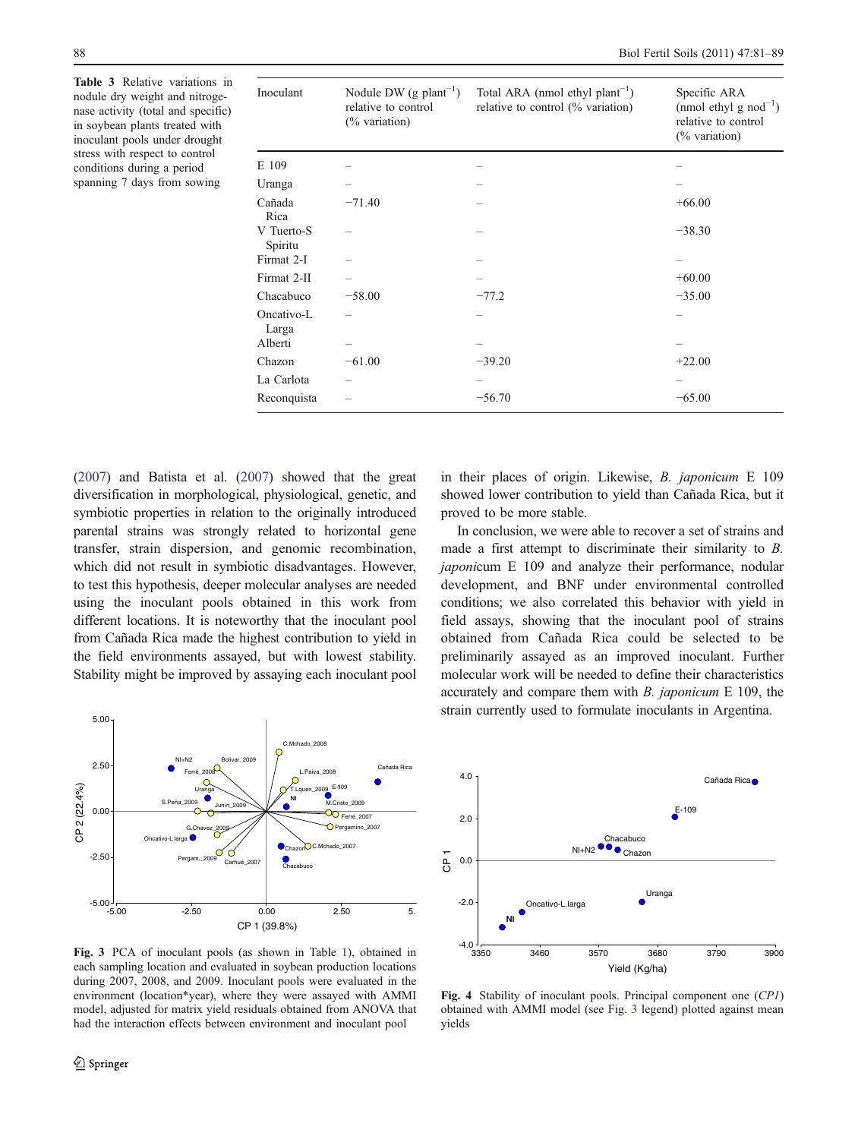<span id="page-7-0"></span>Table 3 Relative variations in nodule dry weight and nitrogenase activity (total and specific) in soybean plants treated with inoculant pools under drought stress with respect to control conditions during a period spanning 7 days from sowing

| Inoculant             | Nodule DW (g $plant^{-1}$ )<br>relative to control<br>$(\%$ variation) | Total ARA (nmol ethyl plant <sup>-1</sup> )<br>relative to control (% variation) | Specific ARA<br>(nmol ethyl g $nod^{-1}$ )<br>relative to control<br>$(\%$ variation) |
|-----------------------|------------------------------------------------------------------------|----------------------------------------------------------------------------------|---------------------------------------------------------------------------------------|
| E 109                 |                                                                        |                                                                                  |                                                                                       |
| Uranga                |                                                                        |                                                                                  |                                                                                       |
| Cañada<br>Rica        | $-71.40$                                                               |                                                                                  | $+66.00$                                                                              |
| V Tuerto-S<br>Spiritu |                                                                        |                                                                                  | $-38.30$                                                                              |
| Firmat 2-I            |                                                                        |                                                                                  |                                                                                       |
| Firmat 2-II           |                                                                        |                                                                                  | $+60.00$                                                                              |
| Chacabuco             | $-58.00$                                                               | $-77.2$                                                                          | $-35.00$                                                                              |
| Oncativo-L<br>Larga   |                                                                        |                                                                                  |                                                                                       |
| Alberti               |                                                                        |                                                                                  |                                                                                       |
| Chazon                | $-61.00$                                                               | $-39.20$                                                                         | $+22.00$                                                                              |
| La Carlota            |                                                                        |                                                                                  |                                                                                       |
| Reconquista           |                                                                        | $-56.70$                                                                         | $-65.00$                                                                              |

[\(2007\)](#page-8-0) and Batista et al. [\(2007\)](#page-8-0) showed that the great diversification in morphological, physiological, genetic, and symbiotic properties in relation to the originally introduced parental strains was strongly related to horizontal gene transfer, strain dispersion, and genomic recombination, which did not result in symbiotic disadvantages. However, to test this hypothesis, deeper molecular analyses are needed using the inoculant pools obtained in this work from different locations. It is noteworthy that the inoculant pool from Cañada Rica made the highest contribution to yield in the field environments assayed, but with lowest stability. Stability might be improved by assaying each inoculant pool



Fig. 3 PCA of inoculant pools (as shown in Table [1](#page-4-0)), obtained in each sampling location and evaluated in soybean production locations during 2007, 2008, and 2009. Inoculant pools were evaluated in the environment (location\*year), where they were assayed with AMMI model, adjusted for matrix yield residuals obtained from ANOVA that had the interaction effects between environment and inoculant pool

in their places of origin. Likewise, B. japonicum E 109 showed lower contribution to yield than Cañada Rica, but it proved to be more stable.

In conclusion, we were able to recover a set of strains and made a first attempt to discriminate their similarity to B. japonicum E 109 and analyze their performance, nodular development, and BNF under environmental controlled conditions; we also correlated this behavior with yield in field assays, showing that the inoculant pool of strains obtained from Cañada Rica could be selected to be preliminarily assayed as an improved inoculant. Further molecular work will be needed to define their characteristics accurately and compare them with B. japonicum E 109, the strain currently used to formulate inoculants in Argentina.



Fig. 4 Stability of inoculant pools. Principal component one (CP1) obtained with AMMI model (see Fig. 3 legend) plotted against mean yields